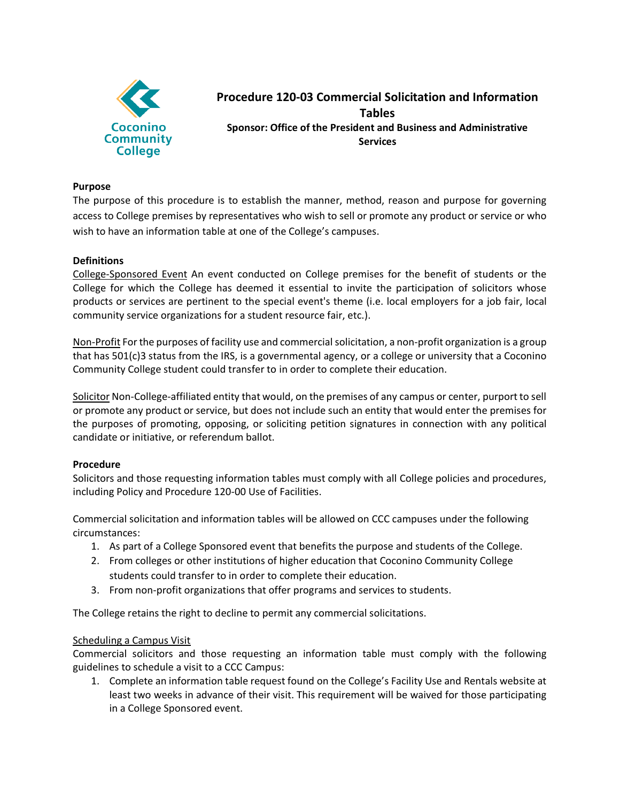

# **Procedure 120-03 Commercial Solicitation and Information Tables Sponsor: Office of the President and Business and Administrative Services**

### **Purpose**

The purpose of this procedure is to establish the manner, method, reason and purpose for governing access to College premises by representatives who wish to sell or promote any product or service or who wish to have an information table at one of the College's campuses.

### **Definitions**

College-Sponsored Event An event conducted on College premises for the benefit of students or the College for which the College has deemed it essential to invite the participation of solicitors whose products or services are pertinent to the special event's theme (i.e. local employers for a job fair, local community service organizations for a student resource fair, etc.).

Non-Profit For the purposes of facility use and commercial solicitation, a non-profit organization is a group that has 501(c)3 status from the IRS, is a governmental agency, or a college or university that a Coconino Community College student could transfer to in order to complete their education.

Solicitor Non-College-affiliated entity that would, on the premises of any campus or center, purport to sell or promote any product or service, but does not include such an entity that would enter the premises for the purposes of promoting, opposing, or soliciting petition signatures in connection with any political candidate or initiative, or referendum ballot.

## **Procedure**

Solicitors and those requesting information tables must comply with all College policies and procedures, including Policy and Procedure 120-00 Use of Facilities.

Commercial solicitation and information tables will be allowed on CCC campuses under the following circumstances:

- 1. As part of a College Sponsored event that benefits the purpose and students of the College.
- 2. From colleges or other institutions of higher education that Coconino Community College students could transfer to in order to complete their education.
- 3. From non-profit organizations that offer programs and services to students.

The College retains the right to decline to permit any commercial solicitations.

## Scheduling a Campus Visit

Commercial solicitors and those requesting an information table must comply with the following guidelines to schedule a visit to a CCC Campus:

1. Complete an information table request found on the College's Facility Use and Rentals website at least two weeks in advance of their visit. This requirement will be waived for those participating in a College Sponsored event.